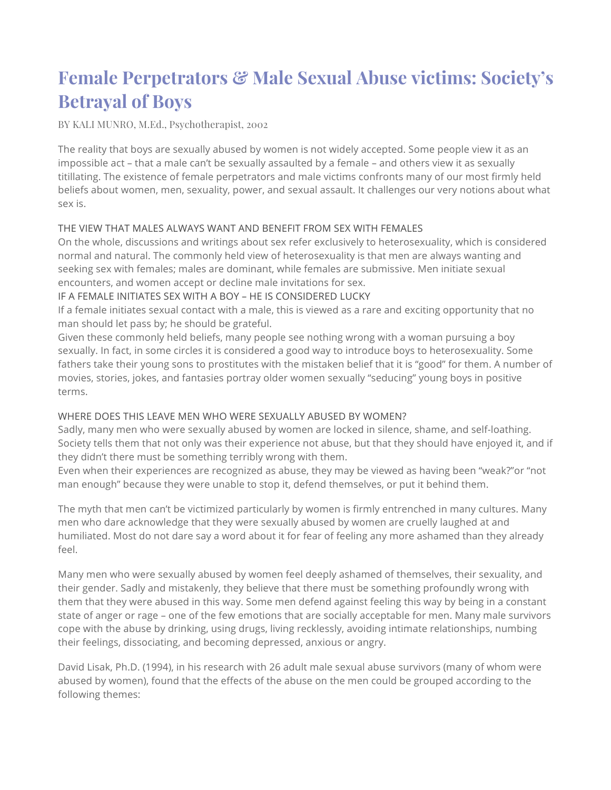# **Female Perpetrators & Male Sexual Abuse victims: Society's Betrayal of Boys**

BY KALI MUNRO, M.Ed., Psychotherapist, 2002

The reality that boys are sexually abused by women is not widely accepted. Some people view it as an impossible act – that a male can't be sexually assaulted by a female – and others view it as sexually titillating. The existence of female perpetrators and male victims confronts many of our most firmly held beliefs about women, men, sexuality, power, and sexual assault. It challenges our very notions about what sex is.

### THE VIEW THAT MALES ALWAYS WANT AND BENEFIT FROM SEX WITH FEMALES

On the whole, discussions and writings about sex refer exclusively to heterosexuality, which is considered normal and natural. The commonly held view of heterosexuality is that men are always wanting and seeking sex with females; males are dominant, while females are submissive. Men initiate sexual encounters, and women accept or decline male invitations for sex.

### IF A FEMALE INITIATES SEX WITH A BOY – HE IS CONSIDERED LUCKY

If a female initiates sexual contact with a male, this is viewed as a rare and exciting opportunity that no man should let pass by; he should be grateful.

Given these commonly held beliefs, many people see nothing wrong with a woman pursuing a boy sexually. In fact, in some circles it is considered a good way to introduce boys to heterosexuality. Some fathers take their young sons to prostitutes with the mistaken belief that it is "good" for them. A number of movies, stories, jokes, and fantasies portray older women sexually "seducing" young boys in positive terms.

### WHERE DOES THIS LEAVE MEN WHO WERE SEXUALLY ABUSED BY WOMEN?

Sadly, many men who were sexually abused by women are locked in silence, shame, and self-loathing. Society tells them that not only was their experience not abuse, but that they should have enjoyed it, and if they didn't there must be something terribly wrong with them.

Even when their experiences are recognized as abuse, they may be viewed as having been "weak?"or "not man enough" because they were unable to stop it, defend themselves, or put it behind them.

The myth that men can't be victimized particularly by women is firmly entrenched in many cultures. Many men who dare acknowledge that they were sexually abused by women are cruelly laughed at and humiliated. Most do not dare say a word about it for fear of feeling any more ashamed than they already feel.

Many men who were sexually abused by women feel deeply ashamed of themselves, their sexuality, and their gender. Sadly and mistakenly, they believe that there must be something profoundly wrong with them that they were abused in this way. Some men defend against feeling this way by being in a constant state of anger or rage – one of the few emotions that are socially acceptable for men. Many male survivors cope with the abuse by drinking, using drugs, living recklessly, avoiding intimate relationships, numbing their feelings, dissociating, and becoming depressed, anxious or angry.

David Lisak, Ph.D. (1994), in his research with 26 adult male sexual abuse survivors (many of whom were abused by women), found that the effects of the abuse on the men could be grouped according to the following themes: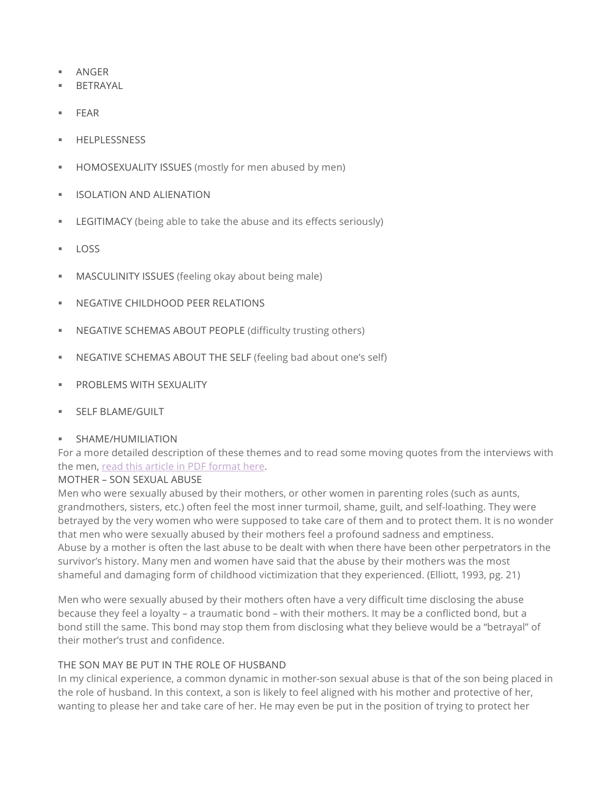- § ANGER
- § BETRAYAL
- § FEAR
- § HELPLESSNESS
- § HOMOSEXUALITY ISSUES (mostly for men abused by men)
- § ISOLATION AND ALIENATION
- **EXECUTIMACY** (being able to take the abuse and its effects seriously)
- $\overline{1}$  LOSS
- **MASCULINITY ISSUES** (feeling okay about being male)
- § NEGATIVE CHILDHOOD PEER RELATIONS
- **NEGATIVE SCHEMAS ABOUT PEOPLE (difficulty trusting others)**
- § NEGATIVE SCHEMAS ABOUT THE SELF (feeling bad about one's self)
- **PROBLEMS WITH SEXUALITY**
- § SELF BLAME/GUILT
- § SHAME/HUMILIATION

For a more detailed description of these themes and to read some moving quotes from the interviews with the men, read this article in PDF format here.

### MOTHER – SON SEXUAL ABUSE

Men who were sexually abused by their mothers, or other women in parenting roles (such as aunts, grandmothers, sisters, etc.) often feel the most inner turmoil, shame, guilt, and self-loathing. They were betrayed by the very women who were supposed to take care of them and to protect them. It is no wonder that men who were sexually abused by their mothers feel a profound sadness and emptiness. Abuse by a mother is often the last abuse to be dealt with when there have been other perpetrators in the survivor's history. Many men and women have said that the abuse by their mothers was the most shameful and damaging form of childhood victimization that they experienced. (Elliott, 1993, pg. 21)

Men who were sexually abused by their mothers often have a very difficult time disclosing the abuse because they feel a loyalty – a traumatic bond – with their mothers. It may be a conflicted bond, but a bond still the same. This bond may stop them from disclosing what they believe would be a "betrayal" of their mother's trust and confidence.

### THE SON MAY BE PUT IN THE ROLE OF HUSBAND

In my clinical experience, a common dynamic in mother-son sexual abuse is that of the son being placed in the role of husband. In this context, a son is likely to feel aligned with his mother and protective of her, wanting to please her and take care of her. He may even be put in the position of trying to protect her